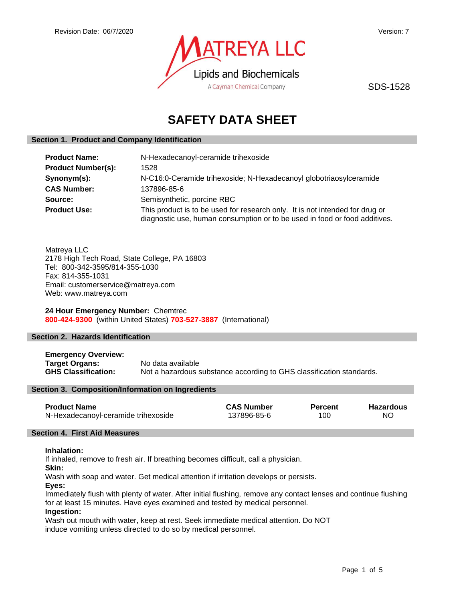

SDS-1528

# **SAFETY DATA SHEET**

# **Section 1. Product and Company Identification**

| <b>Product Name:</b>      | N-Hexadecanoyl-ceramide trihexoside                                                                                                                        |  |
|---------------------------|------------------------------------------------------------------------------------------------------------------------------------------------------------|--|
| <b>Product Number(s):</b> | 1528                                                                                                                                                       |  |
| Synonym(s):               | N-C16:0-Ceramide trihexoside; N-Hexadecanoyl globotriaosylceramide                                                                                         |  |
| <b>CAS Number:</b>        | 137896-85-6                                                                                                                                                |  |
| Source:                   | Semisynthetic, porcine RBC                                                                                                                                 |  |
| <b>Product Use:</b>       | This product is to be used for research only. It is not intended for drug or<br>diagnostic use, human consumption or to be used in food or food additives. |  |

Matreya LLC 2178 High Tech Road, State College, PA 16803 Tel: 800-342-3595/814-355-1030 Fax: 814-355-1031 Email: customerservice@matreya.com Web: www.matreya.com

**24 Hour Emergency Number:** Chemtrec **800-424-9300** (within United States) **703-527-3887** (International)

# **Section 2. Hazards Identification**

**Emergency Overview: Target Organs:** No data available<br> **GHS Classification:** Not a hazardous s Not a hazardous substance according to GHS classification standards.

# **Section 3. Composition/Information on Ingredients**

| <b>Product Name</b>                 | <b>CAS Number</b> | <b>Percent</b> | Hazardous |
|-------------------------------------|-------------------|----------------|-----------|
| N-Hexadecanoyl-ceramide trihexoside | 137896-85-6       | 100            | NΟ        |

#### **Section 4. First Aid Measures**

#### **Inhalation:**

If inhaled, remove to fresh air. If breathing becomes difficult, call a physician.

**Skin:**

Wash with soap and water. Get medical attention if irritation develops or persists.

**Eyes:**

Immediately flush with plenty of water. After initial flushing, remove any contact lenses and continue flushing for at least 15 minutes. Have eyes examined and tested by medical personnel.

# **Ingestion:**

Wash out mouth with water, keep at rest. Seek immediate medical attention. Do NOT induce vomiting unless directed to do so by medical personnel.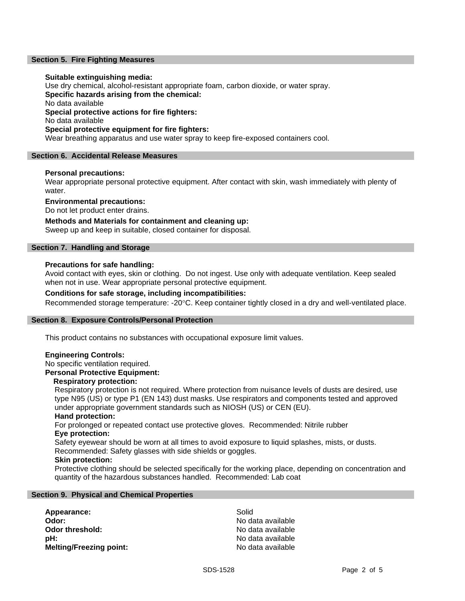# **Section 5. Fire Fighting Measures**

## **Suitable extinguishing media:**

Use dry chemical, alcohol-resistant appropriate foam, carbon dioxide, or water spray. **Specific hazards arising from the chemical:** No data available **Special protective actions for fire fighters:** No data available **Special protective equipment for fire fighters:** Wear breathing apparatus and use water spray to keep fire-exposed containers cool.

#### **Section 6. Accidental Release Measures**

### **Personal precautions:**

Wear appropriate personal protective equipment. After contact with skin, wash immediately with plenty of water.

**Environmental precautions:**

Do not let product enter drains.

**Methods and Materials for containment and cleaning up:**

Sweep up and keep in suitable, closed container for disposal.

# **Section 7. Handling and Storage**

#### **Precautions for safe handling:**

Avoid contact with eyes, skin or clothing. Do not ingest. Use only with adequate ventilation. Keep sealed when not in use. Wear appropriate personal protective equipment.

# **Conditions for safe storage, including incompatibilities:**

Recommended storage temperature: -20°C. Keep container tightly closed in a dry and well-ventilated place.

#### **Section 8. Exposure Controls/Personal Protection**

This product contains no substances with occupational exposure limit values.

#### **Engineering Controls:**

# No specific ventilation required.

**Personal Protective Equipment:**

# **Respiratory protection:**

Respiratory protection is not required. Where protection from nuisance levels of dusts are desired, use type N95 (US) or type P1 (EN 143) dust masks. Use respirators and components tested and approved under appropriate government standards such as NIOSH (US) or CEN (EU).

#### **Hand protection:**

For prolonged or repeated contact use protective gloves. Recommended: Nitrile rubber **Eye protection:**

Safety eyewear should be worn at all times to avoid exposure to liquid splashes, mists, or dusts. Recommended: Safety glasses with side shields or goggles.

#### **Skin protection:**

Protective clothing should be selected specifically for the working place, depending on concentration and quantity of the hazardous substances handled. Recommended: Lab coat

#### **Section 9. Physical and Chemical Properties**

Appearance: Solid **Odor:** No data available<br> **Odor threshold:** No data available<br>
No data available **pH:**  $\blacksquare$ **Melting/Freezing point:** No data available

**Odor threshold:** No data available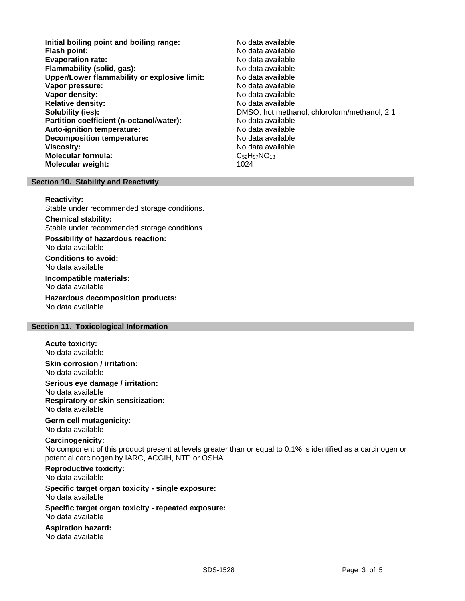- **Initial boiling point and boiling range:** No data available **Flash point:** No data available **Evaporation rate: Flammability (solid, gas):** No data available **Upper/Lower flammability or explosive limit:** No data available **Vapor pressure:** No data available **No data available Vapor density:** No data available in the set of the set of the No data available **Relative density:** No data available **Solubility (ies):** DMSO, hot methanol, chloroform/methanol, 2:1 **Partition coefficient (n-octanol/water):** No data available<br> **Auto-ignition temperature:** No data available **Auto-ignition temperature: Decomposition temperature:** No data available **Viscosity:** No data available **Molecular formula:** C<sub>52</sub>H<sub>97</sub>NO<sub>18</sub> **Molecular weight:** 1024
	-

# **Section 10. Stability and Reactivity**

**Reactivity:**

Stable under recommended storage conditions.

#### **Chemical stability:**

Stable under recommended storage conditions.

**Possibility of hazardous reaction:** No data available

**Conditions to avoid:** No data available

**Incompatible materials:** No data available

**Hazardous decomposition products:** No data available

# **Section 11. Toxicological Information**

**Acute toxicity:** No data available

**Skin corrosion / irritation:** No data available

**Serious eye damage / irritation:**

No data available **Respiratory or skin sensitization:** No data available

**Germ cell mutagenicity:** No data available

#### **Carcinogenicity:**

No component of this product present at levels greater than or equal to 0.1% is identified as a carcinogen or potential carcinogen by IARC, ACGIH, NTP or OSHA.

# **Reproductive toxicity:**

No data available

#### **Specific target organ toxicity - single exposure:** No data available

**Specific target organ toxicity - repeated exposure:** No data available

**Aspiration hazard:** No data available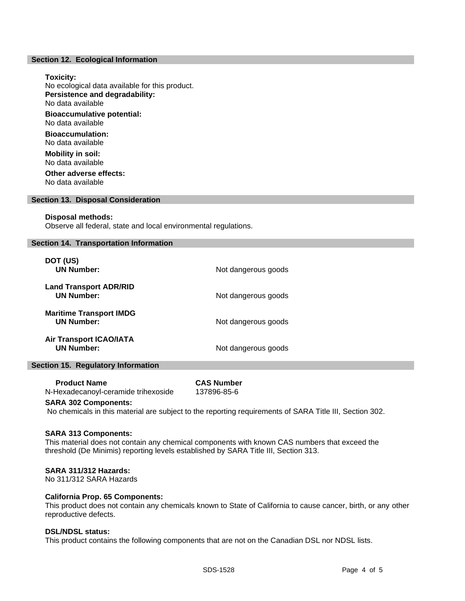#### **Section 12. Ecological Information**

#### **Toxicity:**

No ecological data available for this product. **Persistence and degradability:** No data available **Bioaccumulative potential:** No data available **Bioaccumulation:** No data available **Mobility in soil:** No data available **Other adverse effects:** No data available

#### **Section 13. Disposal Consideration**

#### **Disposal methods:**

Observe all federal, state and local environmental regulations.

# **Section 14. Transportation Information**

| DOT (US)<br><b>UN Number:</b>                       | Not dangerous goods |
|-----------------------------------------------------|---------------------|
| <b>Land Transport ADR/RID</b><br><b>UN Number:</b>  | Not dangerous goods |
| <b>Maritime Transport IMDG</b><br><b>UN Number:</b> | Not dangerous goods |
| <b>Air Transport ICAO/IATA</b><br><b>UN Number:</b> | Not dangerous goods |

#### **Section 15. Regulatory Information**

| <b>Product Name</b>                 | <b>CAS Number</b> |
|-------------------------------------|-------------------|
| N-Hexadecanoyl-ceramide trihexoside | 137896-85-6       |

#### **SARA 302 Components:**

No chemicals in this material are subject to the reporting requirements of SARA Title III, Section 302.

# **SARA 313 Components:**

This material does not contain any chemical components with known CAS numbers that exceed the threshold (De Minimis) reporting levels established by SARA Title III, Section 313.

## **SARA 311/312 Hazards:**

No 311/312 SARA Hazards

### **California Prop. 65 Components:**

This product does not contain any chemicals known to State of California to cause cancer, birth, or any other reproductive defects.

# **DSL/NDSL status:**

This product contains the following components that are not on the Canadian DSL nor NDSL lists.